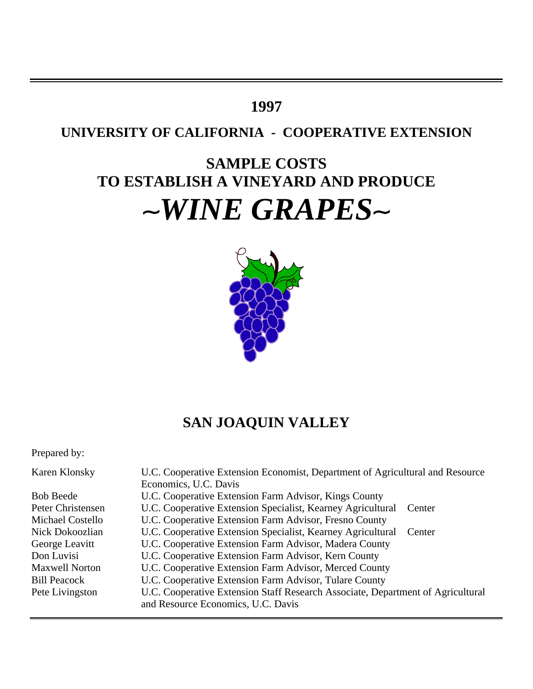## **1997**

## **UNIVERSITY OF CALIFORNIA - COOPERATIVE EXTENSION**

# **SAMPLE COSTS TO ESTABLISH A VINEYARD AND PRODUCE** ~WINE GRAPES~



## **SAN JOAQUIN VALLEY**

Prepared by:

| Karen Klonsky           | U.C. Cooperative Extension Economist, Department of Agricultural and Resource   |  |  |  |  |
|-------------------------|---------------------------------------------------------------------------------|--|--|--|--|
|                         | Economics, U.C. Davis                                                           |  |  |  |  |
| <b>Bob Beede</b>        | U.C. Cooperative Extension Farm Advisor, Kings County                           |  |  |  |  |
| Peter Christensen       | U.C. Cooperative Extension Specialist, Kearney Agricultural Center              |  |  |  |  |
| <b>Michael Costello</b> | U.C. Cooperative Extension Farm Advisor, Fresno County                          |  |  |  |  |
| Nick Dokoozlian         | U.C. Cooperative Extension Specialist, Kearney Agricultural<br>Center           |  |  |  |  |
| George Leavitt          | U.C. Cooperative Extension Farm Advisor, Madera County                          |  |  |  |  |
| Don Luvisi              | U.C. Cooperative Extension Farm Advisor, Kern County                            |  |  |  |  |
| <b>Maxwell Norton</b>   | U.C. Cooperative Extension Farm Advisor, Merced County                          |  |  |  |  |
| <b>Bill Peacock</b>     | U.C. Cooperative Extension Farm Advisor, Tulare County                          |  |  |  |  |
| Pete Livingston         | U.C. Cooperative Extension Staff Research Associate, Department of Agricultural |  |  |  |  |
|                         | and Resource Economics, U.C. Davis                                              |  |  |  |  |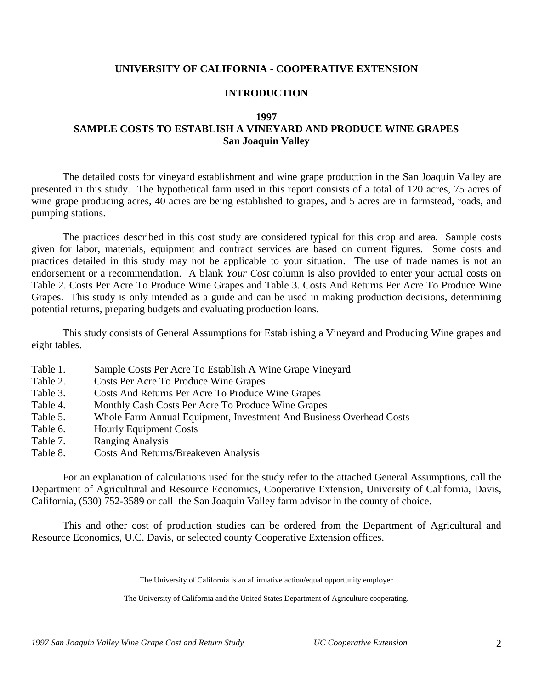## **UNIVERSITY OF CALIFORNIA - COOPERATIVE EXTENSION**

## **INTRODUCTION**

### **1997**

## **SAMPLE COSTS TO ESTABLISH A VINEYARD AND PRODUCE WINE GRAPES San Joaquin Valley**

The detailed costs for vineyard establishment and wine grape production in the San Joaquin Valley are presented in this study. The hypothetical farm used in this report consists of a total of 120 acres, 75 acres of wine grape producing acres, 40 acres are being established to grapes, and 5 acres are in farmstead, roads, and pumping stations.

The practices described in this cost study are considered typical for this crop and area. Sample costs given for labor, materials, equipment and contract services are based on current figures. Some costs and practices detailed in this study may not be applicable to your situation. The use of trade names is not an endorsement or a recommendation. A blank *Your Cost* column is also provided to enter your actual costs on Table 2. Costs Per Acre To Produce Wine Grapes and Table 3. Costs And Returns Per Acre To Produce Wine Grapes. This study is only intended as a guide and can be used in making production decisions, determining potential returns, preparing budgets and evaluating production loans.

This study consists of General Assumptions for Establishing a Vineyard and Producing Wine grapes and eight tables.

- Table 1. Sample Costs Per Acre To Establish A Wine Grape Vineyard
- Table 2. Costs Per Acre To Produce Wine Grapes
- Table 3. Costs And Returns Per Acre To Produce Wine Grapes
- Table 4. Monthly Cash Costs Per Acre To Produce Wine Grapes
- Table 5. Whole Farm Annual Equipment, Investment And Business Overhead Costs
- Table 6. Hourly Equipment Costs
- Table 7. Ranging Analysis
- Table 8. Costs And Returns/Breakeven Analysis

For an explanation of calculations used for the study refer to the attached General Assumptions, call the Department of Agricultural and Resource Economics, Cooperative Extension, University of California, Davis, California, (530) 752-3589 or call the San Joaquin Valley farm advisor in the county of choice.

This and other cost of production studies can be ordered from the Department of Agricultural and Resource Economics, U.C. Davis, or selected county Cooperative Extension offices.

The University of California is an affirmative action/equal opportunity employer

The University of California and the United States Department of Agriculture cooperating.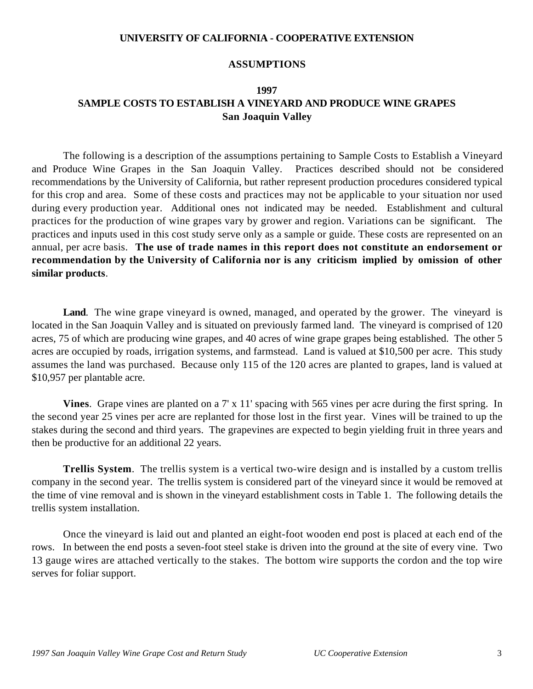## **UNIVERSITY OF CALIFORNIA - COOPERATIVE EXTENSION**

## **ASSUMPTIONS**

## **1997 SAMPLE COSTS TO ESTABLISH A VINEYARD AND PRODUCE WINE GRAPES San Joaquin Valley**

The following is a description of the assumptions pertaining to Sample Costs to Establish a Vineyard and Produce Wine Grapes in the San Joaquin Valley. Practices described should not be considered recommendations by the University of California, but rather represent production procedures considered typical for this crop and area. Some of these costs and practices may not be applicable to your situation nor used during every production year. Additional ones not indicated may be needed. Establishment and cultural practices for the production of wine grapes vary by grower and region. Variations can be significant. The practices and inputs used in this cost study serve only as a sample or guide. These costs are represented on an annual, per acre basis. **The use of trade names in this report does not constitute an endorsement or recommendation by the University of California nor is any criticism implied by omission of other similar products***.*

**Land**. The wine grape vineyard is owned, managed, and operated by the grower. The vineyard is located in the San Joaquin Valley and is situated on previously farmed land. The vineyard is comprised of 120 acres, 75 of which are producing wine grapes, and 40 acres of wine grape grapes being established. The other 5 acres are occupied by roads, irrigation systems, and farmstead. Land is valued at \$10,500 per acre. This study assumes the land was purchased. Because only 115 of the 120 acres are planted to grapes, land is valued at \$10,957 per plantable acre.

**Vines**. Grape vines are planted on a 7' x 11' spacing with 565 vines per acre during the first spring. In the second year 25 vines per acre are replanted for those lost in the first year. Vines will be trained to up the stakes during the second and third years. The grapevines are expected to begin yielding fruit in three years and then be productive for an additional 22 years.

**Trellis System**. The trellis system is a vertical two-wire design and is installed by a custom trellis company in the second year. The trellis system is considered part of the vineyard since it would be removed at the time of vine removal and is shown in the vineyard establishment costs in Table 1. The following details the trellis system installation.

Once the vineyard is laid out and planted an eight-foot wooden end post is placed at each end of the rows. In between the end posts a seven-foot steel stake is driven into the ground at the site of every vine. Two 13 gauge wires are attached vertically to the stakes. The bottom wire supports the cordon and the top wire serves for foliar support.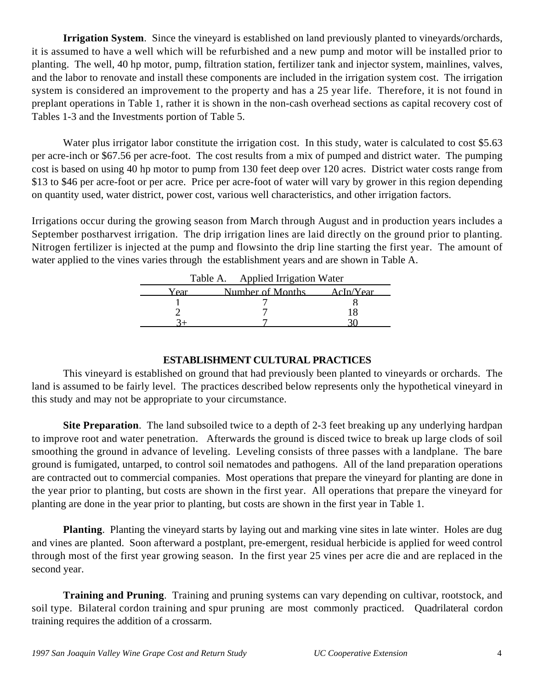**Irrigation System**. Since the vineyard is established on land previously planted to vineyards/orchards, it is assumed to have a well which will be refurbished and a new pump and motor will be installed prior to planting. The well, 40 hp motor, pump, filtration station, fertilizer tank and injector system, mainlines, valves, and the labor to renovate and install these components are included in the irrigation system cost. The irrigation system is considered an improvement to the property and has a 25 year life. Therefore, it is not found in preplant operations in Table 1, rather it is shown in the non-cash overhead sections as capital recovery cost of Tables 1-3 and the Investments portion of Table 5.

Water plus irrigator labor constitute the irrigation cost. In this study, water is calculated to cost \$5.63 per acre-inch or \$67.56 per acre-foot. The cost results from a mix of pumped and district water. The pumping cost is based on using 40 hp motor to pump from 130 feet deep over 120 acres. District water costs range from \$13 to \$46 per acre-foot or per acre. Price per acre-foot of water will vary by grower in this region depending on quantity used, water district, power cost, various well characteristics, and other irrigation factors.

Irrigations occur during the growing season from March through August and in production years includes a September postharvest irrigation. The drip irrigation lines are laid directly on the ground prior to planting. Nitrogen fertilizer is injected at the pump and flowsinto the drip line starting the first year. The amount of water applied to the vines varies through the establishment years and are shown in Table A.

|      | Table A. Applied Irrigation Water |           |
|------|-----------------------------------|-----------|
| Vear | Number of Months                  | AcIn/Year |
|      |                                   |           |
|      |                                   |           |
|      |                                   |           |

## **ESTABLISHMENT CULTURAL PRACTICES**

This vineyard is established on ground that had previously been planted to vineyards or orchards. The land is assumed to be fairly level. The practices described below represents only the hypothetical vineyard in this study and may not be appropriate to your circumstance.

**Site Preparation**. The land subsoiled twice to a depth of 2-3 feet breaking up any underlying hardpan to improve root and water penetration. Afterwards the ground is disced twice to break up large clods of soil smoothing the ground in advance of leveling. Leveling consists of three passes with a landplane. The bare ground is fumigated, untarped, to control soil nematodes and pathogens. All of the land preparation operations are contracted out to commercial companies. Most operations that prepare the vineyard for planting are done in the year prior to planting, but costs are shown in the first year. All operations that prepare the vineyard for planting are done in the year prior to planting, but costs are shown in the first year in Table 1.

**Planting**. Planting the vineyard starts by laying out and marking vine sites in late winter. Holes are dug and vines are planted. Soon afterward a postplant, pre-emergent, residual herbicide is applied for weed control through most of the first year growing season. In the first year 25 vines per acre die and are replaced in the second year.

**Training and Pruning**. Training and pruning systems can vary depending on cultivar, rootstock, and soil type. Bilateral cordon training and spur pruning are most commonly practiced. Quadrilateral cordon training requires the addition of a crossarm.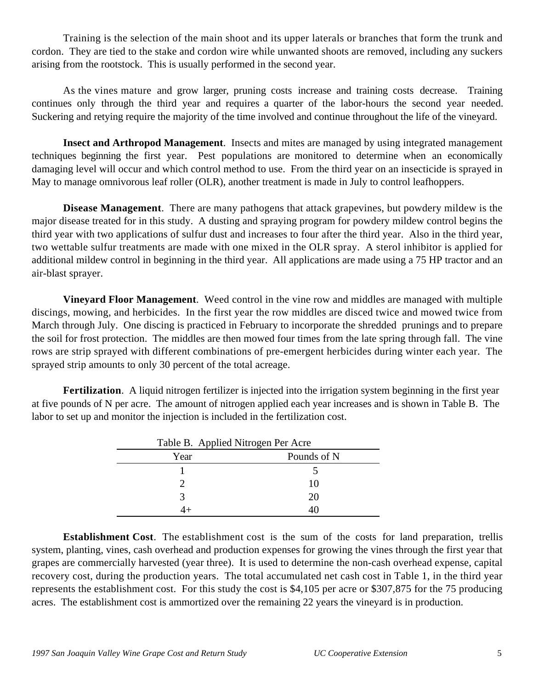Training is the selection of the main shoot and its upper laterals or branches that form the trunk and cordon. They are tied to the stake and cordon wire while unwanted shoots are removed, including any suckers arising from the rootstock. This is usually performed in the second year.

As the vines mature and grow larger, pruning costs increase and training costs decrease. Training continues only through the third year and requires a quarter of the labor-hours the second year needed. Suckering and retying require the majority of the time involved and continue throughout the life of the vineyard.

**Insect and Arthropod Management**. Insects and mites are managed by using integrated management techniques beginning the first year. Pest populations are monitored to determine when an economically damaging level will occur and which control method to use. From the third year on an insecticide is sprayed in May to manage omnivorous leaf roller (OLR), another treatment is made in July to control leafhoppers.

**Disease Management**. There are many pathogens that attack grapevines, but powdery mildew is the major disease treated for in this study. A dusting and spraying program for powdery mildew control begins the third year with two applications of sulfur dust and increases to four after the third year. Also in the third year, two wettable sulfur treatments are made with one mixed in the OLR spray. A sterol inhibitor is applied for additional mildew control in beginning in the third year. All applications are made using a 75 HP tractor and an air-blast sprayer.

**Vineyard Floor Management**. Weed control in the vine row and middles are managed with multiple discings, mowing, and herbicides. In the first year the row middles are disced twice and mowed twice from March through July. One discing is practiced in February to incorporate the shredded prunings and to prepare the soil for frost protection. The middles are then mowed four times from the late spring through fall. The vine rows are strip sprayed with different combinations of pre-emergent herbicides during winter each year. The sprayed strip amounts to only 30 percent of the total acreage.

**Fertilization**. A liquid nitrogen fertilizer is injected into the irrigation system beginning in the first year at five pounds of N per acre. The amount of nitrogen applied each year increases and is shown in Table B. The labor to set up and monitor the injection is included in the fertilization cost.

| Table B. Applied Nitrogen Per Acre |             |  |  |  |  |
|------------------------------------|-------------|--|--|--|--|
| Year                               | Pounds of N |  |  |  |  |
|                                    |             |  |  |  |  |
|                                    | 10          |  |  |  |  |
|                                    | 20          |  |  |  |  |
|                                    |             |  |  |  |  |

**Establishment Cost**. The establishment cost is the sum of the costs for land preparation, trellis system, planting, vines, cash overhead and production expenses for growing the vines through the first year that grapes are commercially harvested (year three). It is used to determine the non-cash overhead expense, capital recovery cost, during the production years. The total accumulated net cash cost in Table 1, in the third year represents the establishment cost. For this study the cost is \$4,105 per acre or \$307,875 for the 75 producing acres. The establishment cost is ammortized over the remaining 22 years the vineyard is in production.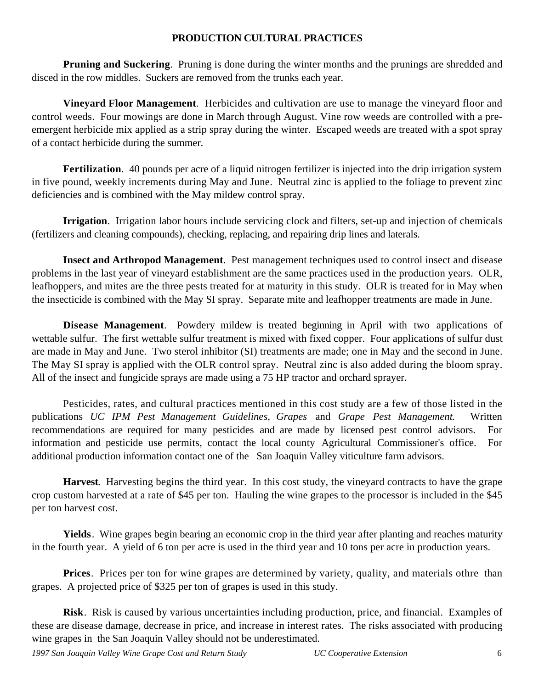## **PRODUCTION CULTURAL PRACTICES**

**Pruning and Suckering.** Pruning is done during the winter months and the prunings are shredded and disced in the row middles. Suckers are removed from the trunks each year.

**Vineyard Floor Management**. Herbicides and cultivation are use to manage the vineyard floor and control weeds. Four mowings are done in March through August. Vine row weeds are controlled with a preemergent herbicide mix applied as a strip spray during the winter. Escaped weeds are treated with a spot spray of a contact herbicide during the summer.

**Fertilization**. 40 pounds per acre of a liquid nitrogen fertilizer is injected into the drip irrigation system in five pound, weekly increments during May and June. Neutral zinc is applied to the foliage to prevent zinc deficiencies and is combined with the May mildew control spray.

**Irrigation**. Irrigation labor hours include servicing clock and filters, set-up and injection of chemicals (fertilizers and cleaning compounds), checking, replacing, and repairing drip lines and laterals.

**Insect and Arthropod Management**. Pest management techniques used to control insect and disease problems in the last year of vineyard establishment are the same practices used in the production years. OLR, leafhoppers, and mites are the three pests treated for at maturity in this study. OLR is treated for in May when the insecticide is combined with the May SI spray. Separate mite and leafhopper treatments are made in June.

**Disease Management**. Powdery mildew is treated beginning in April with two applications of wettable sulfur. The first wettable sulfur treatment is mixed with fixed copper. Four applications of sulfur dust are made in May and June. Two sterol inhibitor (SI) treatments are made; one in May and the second in June. The May SI spray is applied with the OLR control spray. Neutral zinc is also added during the bloom spray. All of the insect and fungicide sprays are made using a 75 HP tractor and orchard sprayer.

Pesticides, rates, and cultural practices mentioned in this cost study are a few of those listed in the publications *UC IPM Pest Management Guidelines, Grapes* and *Grape Pest Management*. Written recommendations are required for many pesticides and are made by licensed pest control advisors. For information and pesticide use permits, contact the local county Agricultural Commissioner's office. For additional production information contact one of the San Joaquin Valley viticulture farm advisors.

**Harvest**. Harvesting begins the third year. In this cost study, the vineyard contracts to have the grape crop custom harvested at a rate of \$45 per ton. Hauling the wine grapes to the processor is included in the \$45 per ton harvest cost.

**Yields**. Wine grapes begin bearing an economic crop in the third year after planting and reaches maturity in the fourth year. A yield of 6 ton per acre is used in the third year and 10 tons per acre in production years.

**Prices**. Prices per ton for wine grapes are determined by variety, quality, and materials othre than grapes. A projected price of \$325 per ton of grapes is used in this study.

**Risk**. Risk is caused by various uncertainties including production, price, and financial. Examples of these are disease damage, decrease in price, and increase in interest rates. The risks associated with producing wine grapes in the San Joaquin Valley should not be underestimated.

*1997 San Joaquin Valley Wine Grape Cost and Return Study UC Cooperative Extension* 6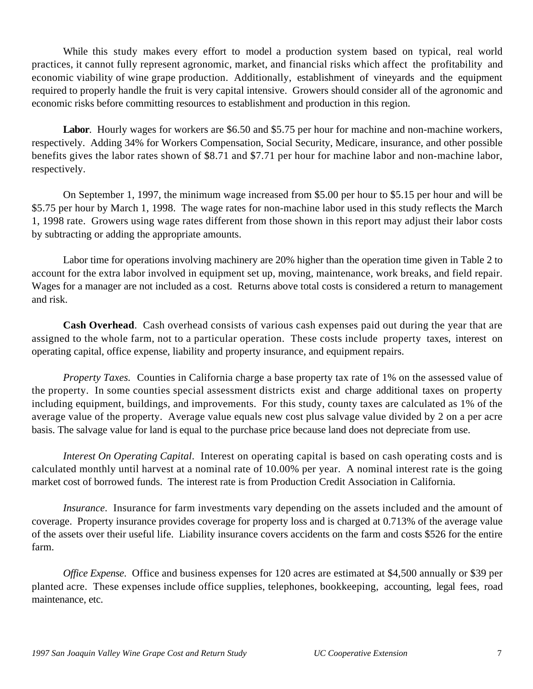While this study makes every effort to model a production system based on typical, real world practices, it cannot fully represent agronomic, market, and financial risks which affect the profitability and economic viability of wine grape production. Additionally, establishment of vineyards and the equipment required to properly handle the fruit is very capital intensive. Growers should consider all of the agronomic and economic risks before committing resources to establishment and production in this region.

Labor. Hourly wages for workers are \$6.50 and \$5.75 per hour for machine and non-machine workers, respectively. Adding 34% for Workers Compensation, Social Security, Medicare, insurance, and other possible benefits gives the labor rates shown of \$8.71 and \$7.71 per hour for machine labor and non-machine labor, respectively.

On September 1, 1997, the minimum wage increased from \$5.00 per hour to \$5.15 per hour and will be \$5.75 per hour by March 1, 1998. The wage rates for non-machine labor used in this study reflects the March 1, 1998 rate. Growers using wage rates different from those shown in this report may adjust their labor costs by subtracting or adding the appropriate amounts.

Labor time for operations involving machinery are 20% higher than the operation time given in Table 2 to account for the extra labor involved in equipment set up, moving, maintenance, work breaks, and field repair. Wages for a manager are not included as a cost. Returns above total costs is considered a return to management and risk.

**Cash Overhead**. Cash overhead consists of various cash expenses paid out during the year that are assigned to the whole farm, not to a particular operation. These costs include property taxes, interest on operating capital, office expense, liability and property insurance, and equipment repairs.

*Property Taxes.* Counties in California charge a base property tax rate of 1% on the assessed value of the property. In some counties special assessment districts exist and charge additional taxes on property including equipment, buildings, and improvements. For this study, county taxes are calculated as 1% of the average value of the property. Average value equals new cost plus salvage value divided by 2 on a per acre basis. The salvage value for land is equal to the purchase price because land does not depreciate from use.

*Interest On Operating Capital*. Interest on operating capital is based on cash operating costs and is calculated monthly until harvest at a nominal rate of 10.00% per year. A nominal interest rate is the going market cost of borrowed funds. The interest rate is from Production Credit Association in California.

*Insurance*. Insurance for farm investments vary depending on the assets included and the amount of coverage. Property insurance provides coverage for property loss and is charged at 0.713% of the average value of the assets over their useful life. Liability insurance covers accidents on the farm and costs \$526 for the entire farm.

*Office Expense*. Office and business expenses for 120 acres are estimated at \$4,500 annually or \$39 per planted acre. These expenses include office supplies, telephones, bookkeeping, accounting, legal fees, road maintenance, etc.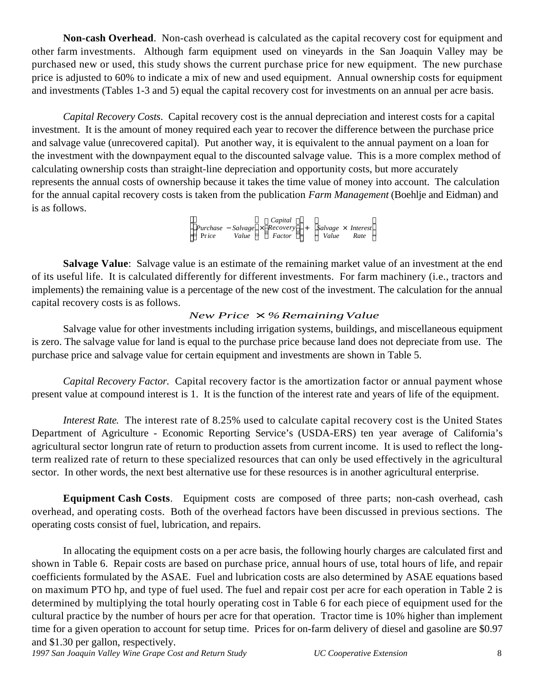**Non-cash Overhead**. Non-cash overhead is calculated as the capital recovery cost for equipment and other farm investments. Although farm equipment used on vineyards in the San Joaquin Valley may be purchased new or used, this study shows the current purchase price for new equipment. The new purchase price is adjusted to 60% to indicate a mix of new and used equipment. Annual ownership costs for equipment and investments (Tables 1-3 and 5) equal the capital recovery cost for investments on an annual per acre basis.

*Capital Recovery Costs*. Capital recovery cost is the annual depreciation and interest costs for a capital investment. It is the amount of money required each year to recover the difference between the purchase price and salvage value (unrecovered capital). Put another way, it is equivalent to the annual payment on a loan for the investment with the downpayment equal to the discounted salvage value. This is a more complex method of calculating ownership costs than straight-line depreciation and opportunity costs, but more accurately represents the annual costs of ownership because it takes the time value of money into account. The calculation for the annual capital recovery costs is taken from the publication *Farm Management* (Boehlje and Eidman) and is as follows.

> *Purchase* − *Salvage* × *Recovery* Pr*ice Value Factor Capital*  $\overline{\phantom{a}}$  + *Salvage* × *Interest Value Rate*

**Salvage Value**: Salvage value is an estimate of the remaining market value of an investment at the end of its useful life. It is calculated differently for different investments. For farm machinery (i.e., tractors and implements) the remaining value is a percentage of the new cost of the investment. The calculation for the annual capital recovery costs is as follows.

## *New Price*  $\times$  *%Remaining Value*

Salvage value for other investments including irrigation systems, buildings, and miscellaneous equipment is zero. The salvage value for land is equal to the purchase price because land does not depreciate from use. The purchase price and salvage value for certain equipment and investments are shown in Table 5.

*Capital Recovery Factor*. Capital recovery factor is the amortization factor or annual payment whose present value at compound interest is 1. It is the function of the interest rate and years of life of the equipment.

*Interest Rate*. The interest rate of 8.25% used to calculate capital recovery cost is the United States Department of Agriculture - Economic Reporting Service's (USDA-ERS) ten year average of California's agricultural sector longrun rate of return to production assets from current income. It is used to reflect the longterm realized rate of return to these specialized resources that can only be used effectively in the agricultural sector. In other words, the next best alternative use for these resources is in another agricultural enterprise.

**Equipment Cash Costs**. Equipment costs are composed of three parts; non-cash overhead, cash overhead, and operating costs. Both of the overhead factors have been discussed in previous sections. The operating costs consist of fuel, lubrication, and repairs.

In allocating the equipment costs on a per acre basis, the following hourly charges are calculated first and shown in Table 6. Repair costs are based on purchase price, annual hours of use, total hours of life, and repair coefficients formulated by the ASAE. Fuel and lubrication costs are also determined by ASAE equations based on maximum PTO hp, and type of fuel used. The fuel and repair cost per acre for each operation in Table 2 is determined by multiplying the total hourly operating cost in Table 6 for each piece of equipment used for the cultural practice by the number of hours per acre for that operation. Tractor time is 10% higher than implement time for a given operation to account for setup time. Prices for on-farm delivery of diesel and gasoline are \$0.97 and \$1.30 per gallon, respectively.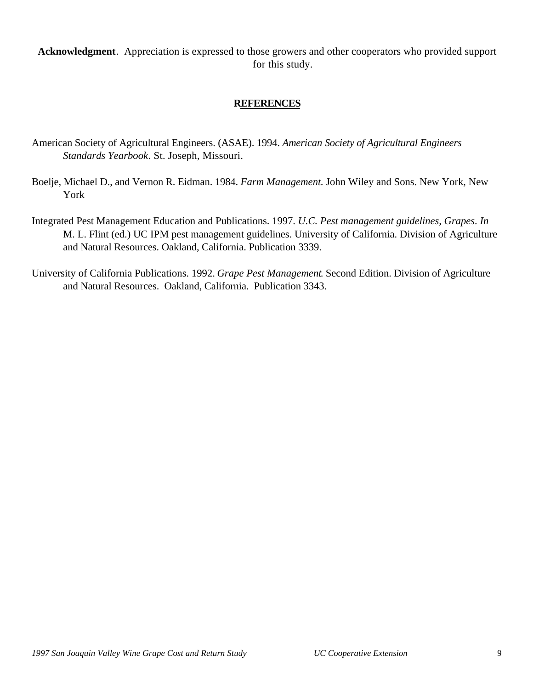**Acknowledgment**. Appreciation is expressed to those growers and other cooperators who provided support for this study.

## **REFERENCES**

- American Society of Agricultural Engineers. (ASAE). 1994. *American Society of Agricultural Engineers Standards Yearbook*. St. Joseph, Missouri.
- Boelje, Michael D., and Vernon R. Eidman. 1984. *Farm Management*. John Wiley and Sons. New York, New York
- Integrated Pest Management Education and Publications. 1997. *U.C. Pest management guidelines, Grapes*. *In* M. L. Flint (ed.) UC IPM pest management guidelines. University of California. Division of Agriculture and Natural Resources. Oakland, California. Publication 3339.
- University of California Publications. 1992. *Grape Pest Management*. Second Edition. Division of Agriculture and Natural Resources. Oakland, California. Publication 3343.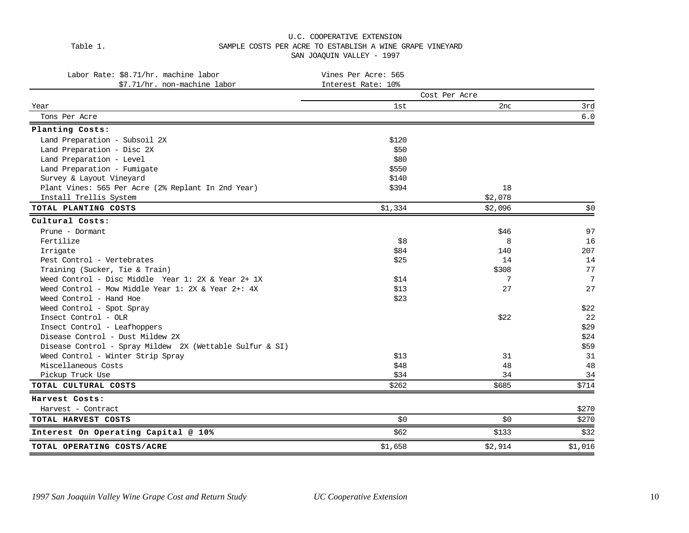#### U.C. COOPERATIVE EXTENSION Table 1. SAMPLE COSTS PER ACRE TO ESTABLISH A WINE GRAPE VINEYARD SAN JOAQUIN VALLEY - 1997

| Labor Rate: \$8.71/hr. machine labor                     | Vines Per Acre: 565 |               |         |
|----------------------------------------------------------|---------------------|---------------|---------|
| \$7.71/hr. non-machine labor                             | Interest Rate: 10%  |               |         |
|                                                          |                     | Cost Per Acre |         |
| Year                                                     | 1st                 | 2nd           | 3rd     |
| Tons Per Acre                                            |                     |               | 6.0     |
| Planting Costs:                                          |                     |               |         |
| Land Preparation - Subsoil 2X                            | \$120               |               |         |
| Land Preparation - Disc 2X                               | \$50                |               |         |
| Land Preparation - Level                                 | \$80                |               |         |
| Land Preparation - Fumigate                              | \$550               |               |         |
| Survey & Layout Vineyard                                 | \$140               |               |         |
| Plant Vines: 565 Per Acre (2% Replant In 2nd Year)       | \$394               | 18            |         |
| Install Trellis System                                   |                     | \$2,078       |         |
| TOTAL PLANTING COSTS                                     | \$1,334             | \$2,096       | \$0     |
| Cultural Costs:                                          |                     |               |         |
| Prune - Dormant                                          |                     | \$46          | 97      |
| Fertilize                                                | \$8                 | 8             | 16      |
| Irrigate                                                 | \$84                | 140           | 207     |
| Pest Control - Vertebrates                               | \$25                | 14            | 14      |
| Training (Sucker, Tie & Train)                           |                     | \$308         | 77      |
| Weed Control - Disc Middle Year 1: 2X & Year 2+ 1X       | \$14                | 7             | 7       |
| Weed Control - Mow Middle Year 1: 2X & Year 2+: $4X$     | \$13                | 27            | 27      |
| Weed Control - Hand Hoe                                  | \$23                |               |         |
| Weed Control - Spot Spray                                |                     |               | \$22    |
| Insect Control - OLR                                     |                     | \$22          | 22      |
| Insect Control - Leafhoppers                             |                     |               | \$29    |
| Disease Control - Dust Mildew 2X                         |                     |               | \$24    |
| Disease Control - Spray Mildew 2X (Wettable Sulfur & SI) |                     |               | \$59    |
| Weed Control - Winter Strip Spray                        | \$13                | 31            | 31      |
| Miscellaneous Costs                                      | \$48                | 48            | 48      |
| Pickup Truck Use                                         | \$34                | 34            | 34      |
| TOTAL CULTURAL COSTS                                     | \$262               | \$685         | \$714   |
| Harvest Costs:                                           |                     |               |         |
| Harvest - Contract                                       |                     |               | \$270   |
| TOTAL HARVEST COSTS                                      | \$0                 | \$0           | \$270   |
| Interest On Operating Capital @ 10%                      | \$62                | \$133         | \$32    |
| TOTAL OPERATING COSTS/ACRE                               | \$1,658             | \$2,914       | \$1,016 |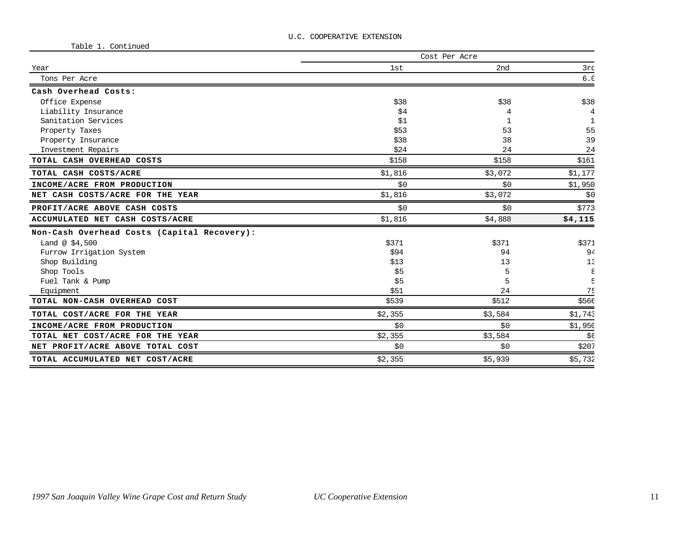| rante T' contrinced                         | Cost Per Acre |         |            |  |  |  |
|---------------------------------------------|---------------|---------|------------|--|--|--|
| Year                                        | 1st           | 2nd     | 3rd        |  |  |  |
| Tons Per Acre                               |               |         | 6.0        |  |  |  |
| Cash Overhead Costs:                        |               |         |            |  |  |  |
| Office Expense                              | \$38          | \$38    | \$38       |  |  |  |
| Liability Insurance                         | \$4           |         | 4          |  |  |  |
| Sanitation Services                         | \$1           |         | 1          |  |  |  |
| Property Taxes                              | \$53          | 53      | 55         |  |  |  |
| Property Insurance                          | \$38          | 38      | 39         |  |  |  |
| Investment Repairs                          | \$24          | 24      | 24         |  |  |  |
| TOTAL CASH OVERHEAD COSTS                   | \$158         | \$158   | \$161      |  |  |  |
| TOTAL CASH COSTS/ACRE                       | \$1,816       | \$3,072 | \$1,177    |  |  |  |
| INCOME/ACRE FROM PRODUCTION                 | \$0           | \$0     | \$1,950    |  |  |  |
| NET CASH COSTS/ACRE FOR THE YEAR            | \$1,816       | \$3,072 | \$0        |  |  |  |
| PROFIT/ACRE ABOVE CASH COSTS                | \$0           | \$0     | \$773      |  |  |  |
| ACCUMULATED NET CASH COSTS/ACRE             | \$1,816       | \$4,888 | \$4,115    |  |  |  |
| Non-Cash Overhead Costs (Capital Recovery): |               |         |            |  |  |  |
| Land @ $$4,500$                             | \$371         | \$371   | \$371      |  |  |  |
| Furrow Irrigation System                    | \$94          | 94      | 94         |  |  |  |
| Shop Building                               | \$13          | 13      | $1\bar{z}$ |  |  |  |
| Shop Tools                                  | \$5           |         | ε          |  |  |  |
| Fuel Tank & Pump                            | \$5           | 5       |            |  |  |  |
| Equipment                                   | \$51          | 24      | <b>75</b>  |  |  |  |
| TOTAL NON-CASH OVERHEAD COST                | \$539         | \$512   | \$566      |  |  |  |
| TOTAL COST/ACRE FOR THE YEAR                | \$2,355       | \$3,584 | \$1,743    |  |  |  |
| INCOME/ACRE FROM PRODUCTION                 | \$0           | \$0     | \$1,950    |  |  |  |
| TOTAL NET COST/ACRE FOR THE YEAR            | \$2,355       | \$3,584 | \$C        |  |  |  |
| NET PROFIT/ACRE ABOVE TOTAL COST            | \$0\$         | \$0     | \$207      |  |  |  |
| TOTAL ACCUMULATED NET COST/ACRE             | \$2,355       | \$5,939 | \$5,732    |  |  |  |

Table 1. Continued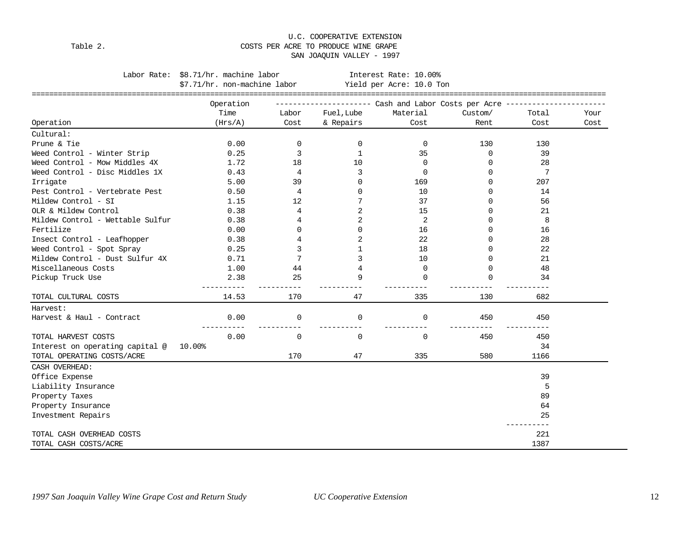#### U.C. COOPERATIVE EXTENSION Table 2.  $\hfill$  COSTS PER ACRE TO PRODUCE WINE GRAPE SAN JOAQUIN VALLEY - 1997

Labor Rate: \$8.71/hr. machine labor **Interest Rate: 10.00%** 

|                                  | \$7.71/hr. non-machine labor |             | ================= | Yield per Acre: 10.0 Ton                                                     |          |             |      |
|----------------------------------|------------------------------|-------------|-------------------|------------------------------------------------------------------------------|----------|-------------|------|
|                                  | Operation                    |             |                   | ---------------------        Cash and Labor Costs per Acre ----------------- |          |             |      |
|                                  | Time                         | Labor       | Fuel, Lube        | Material                                                                     | Custom/  | Total       | Your |
| Operation                        | (Hrs/A)                      | Cost        | & Repairs         | Cost                                                                         | Rent     | Cost        | Cost |
| Cultural:                        |                              |             |                   |                                                                              |          |             |      |
| Prune & Tie                      | 0.00                         | $\mathbf 0$ | 0                 | 0                                                                            | 130      | 130         |      |
| Weed Control - Winter Strip      | 0.25                         | 3           | $\mathbf 1$       | 35                                                                           | 0        | 39          |      |
| Weed Control - Mow Middles 4X    | 1.72                         | 18          | 10                | $\Omega$                                                                     | $\Omega$ | 28          |      |
| Weed Control - Disc Middles 1X   | 0.43                         | 4           | 3                 | 0                                                                            | $\Omega$ | 7           |      |
| Irrigate                         | 5.00                         | 39          | 0                 | 169                                                                          | $\Omega$ | 207         |      |
| Pest Control - Vertebrate Pest   | 0.50                         | 4           | 0                 | 10                                                                           | $\Omega$ | 14          |      |
| Mildew Control - SI              | 1.15                         | 12          | 7                 | 37                                                                           | $\Omega$ | 56          |      |
| OLR & Mildew Control             | 0.38                         | 4           | 2                 | 15                                                                           | $\Omega$ | 21          |      |
| Mildew Control - Wettable Sulfur | 0.38                         | 4           | 2                 | 2                                                                            | $\Omega$ | 8           |      |
| Fertilize                        | 0.00                         | $\Omega$    | 0                 | 16                                                                           | $\Omega$ | 16          |      |
| Insect Control - Leafhopper      | 0.38                         | 4           | 2                 | 22                                                                           | $\Omega$ | 28          |      |
| Weed Control - Spot Spray        | 0.25                         | 3           | $\mathbf{1}$      | 18                                                                           | $\Omega$ | 22          |      |
| Mildew Control - Dust Sulfur 4X  | 0.71                         | 7           | 3                 | 10                                                                           | $\Omega$ | 21          |      |
| Miscellaneous Costs              | 1.00                         | 44          | 4                 | $\Omega$                                                                     | $\Omega$ | 48          |      |
| Pickup Truck Use                 | 2.38                         | 25          | 9                 | $\Omega$                                                                     | $\Omega$ | 34          |      |
| TOTAL CULTURAL COSTS             | 14.53                        | 170         | 47                | 335                                                                          | 130      | $ -$<br>682 |      |
| Harvest:                         |                              |             |                   |                                                                              |          |             |      |
| Harvest & Haul - Contract        | 0.00                         | $\mathbf 0$ | 0                 | $\Omega$                                                                     | 450      | 450         |      |
| TOTAL HARVEST COSTS              | 0.00                         | $\mathbf 0$ | 0                 | $\mathbf 0$                                                                  | 450      | 450         |      |
| Interest on operating capital @  | $10.00\%$                    |             |                   |                                                                              |          | 34          |      |
| TOTAL OPERATING COSTS/ACRE       |                              | 170         | 47                | 335                                                                          | 580      | 1166        |      |
| CASH OVERHEAD:                   |                              |             |                   |                                                                              |          |             |      |
| Office Expense                   |                              |             |                   |                                                                              |          | 39          |      |
| Liability Insurance              |                              |             |                   |                                                                              |          | 5           |      |
| Property Taxes                   |                              |             |                   |                                                                              |          | 89          |      |
| Property Insurance               |                              |             |                   |                                                                              |          | 64          |      |
| Investment Repairs               |                              |             |                   |                                                                              |          | 25          |      |
| TOTAL CASH OVERHEAD COSTS        |                              |             |                   |                                                                              |          | 221         |      |
| TOTAL CASH COSTS/ACRE            |                              |             |                   |                                                                              |          | 1387        |      |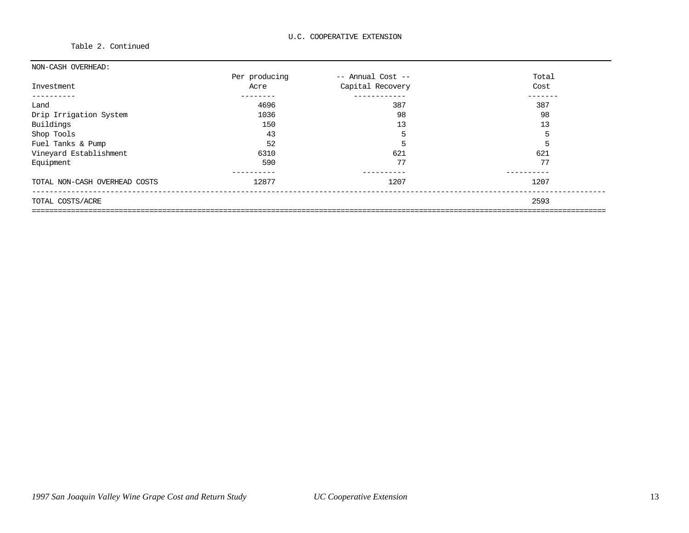Table 2. Continued

| NON-CASH OVERHEAD:            |               |                   |       |
|-------------------------------|---------------|-------------------|-------|
|                               | Per producing | -- Annual Cost -- | Total |
| Investment                    | Acre          | Capital Recovery  | Cost  |
| --------                      |               | ------------      |       |
| Land                          | 4696          | 387               | 387   |
| Drip Irrigation System        | 1036          | 98                | 98    |
| Buildings                     | 150           | 13                | 13    |
| Shop Tools                    | 43            | 5                 | 5     |
| Fuel Tanks & Pump             | 52            | 5                 | 5     |
| Vineyard Establishment        | 6310          | 621               | 621   |
| Equipment                     | 590           | 77                | 77    |
| TOTAL NON-CASH OVERHEAD COSTS | 12877         | 1207              | 1207  |
| TOTAL COSTS/ACRE              |               |                   | 2593  |
|                               |               |                   |       |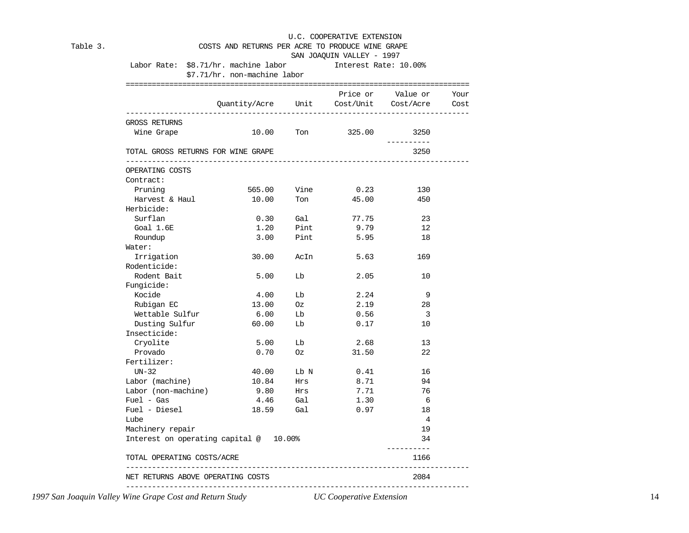| Table 3. | COSTS AND RETURNS PER ACRE TO PRODUCE WINE GRAPE<br>SAN JOAQUIN VALLEY - 1997 |                                        |      |                                        |                         |              |  |  |  |
|----------|-------------------------------------------------------------------------------|----------------------------------------|------|----------------------------------------|-------------------------|--------------|--|--|--|
|          | Labor Rate: \$8.71/hr. machine labor [Interest Rate: 10.00%]                  | \$7.71/hr. non-machine labor           |      |                                        |                         |              |  |  |  |
|          |                                                                               | Quantity/Acre Unit Cost/Unit Cost/Acre |      |                                        | Price or Value or       | Your<br>Cost |  |  |  |
|          | GROSS RETURNS<br>Wine Grape                                                   |                                        |      | 10.00 Ton 325.00                       | 3250                    |              |  |  |  |
|          | TOTAL GROSS RETURNS FOR WINE GRAPE                                            |                                        |      |                                        | ----------<br>3250      |              |  |  |  |
|          | OPERATING COSTS<br>Contract:                                                  |                                        |      |                                        |                         |              |  |  |  |
|          | Pruning                                                                       | 565.00                                 | Vine | 0.23                                   | 130                     |              |  |  |  |
|          | Harvest & Haul                                                                | 10.00                                  | Ton  | 45.00                                  | 450                     |              |  |  |  |
|          | Herbicide:                                                                    |                                        |      |                                        |                         |              |  |  |  |
|          | Surflan                                                                       | 0.30                                   | Gal  | 77.75                                  | 23                      |              |  |  |  |
|          | Goal $1.6E$                                                                   | 1.20                                   | Pint | 9.79                                   | 12                      |              |  |  |  |
|          | Roundup                                                                       | 3.00                                   | Pint | 5.95                                   | 18                      |              |  |  |  |
|          | Water:                                                                        |                                        |      |                                        |                         |              |  |  |  |
|          | Irrigation                                                                    | 30.00                                  |      | AcIn<br>5.63                           | 169                     |              |  |  |  |
|          | Rodenticide:                                                                  |                                        |      |                                        |                         |              |  |  |  |
|          | Rodent Bait                                                                   | 5.00                                   | Lb   | 2.05                                   | 10                      |              |  |  |  |
|          | Fungicide:                                                                    |                                        |      |                                        |                         |              |  |  |  |
|          | Kocide                                                                        | 4.00                                   | Lb   | 2.24                                   | 9                       |              |  |  |  |
|          | Rubigan EC                                                                    | 13.00                                  | Oz   | 2.19                                   | 28                      |              |  |  |  |
|          | Wettable Sulfur                                                               | 6.00                                   | Lb   | 0.56                                   | $\overline{\mathbf{3}}$ |              |  |  |  |
|          | Dusting Sulfur                                                                | 60.00                                  | Lb   | 0.17                                   | 10                      |              |  |  |  |
|          | Insecticide:                                                                  |                                        |      |                                        |                         |              |  |  |  |
|          | Cryolite                                                                      | 5.00                                   | ГP   | 2.68                                   | 13                      |              |  |  |  |
|          | Provado                                                                       | 0.70                                   | Oz   | 31.50                                  | 22                      |              |  |  |  |
|          | Fertilizer:                                                                   |                                        |      |                                        |                         |              |  |  |  |
|          | $UN-32$                                                                       | 40.00                                  | Lb N | 0.41                                   | 16                      |              |  |  |  |
|          | Labor (machine)                                                               | 10.84                                  | Hrs  | 8.71                                   | 94                      |              |  |  |  |
|          | Labor (non-machine)                                                           | 9.80                                   | Hrs  | 7.71                                   | 76                      |              |  |  |  |
|          | $Fuel - Gas$                                                                  | $4.46$ Gal                             |      | 1.30                                   | 6                       |              |  |  |  |
|          | Fuel - Diesel                                                                 | 18.59                                  | Gal  | 0.97                                   | 18                      |              |  |  |  |
|          | Lube                                                                          |                                        |      |                                        | $\overline{4}$          |              |  |  |  |
|          | Machinery repair                                                              |                                        |      |                                        | 19                      |              |  |  |  |
|          | Interest on operating capital @ 10.00%                                        |                                        |      |                                        | 34<br>----------        |              |  |  |  |
|          | TOTAL OPERATING COSTS/ACRE                                                    |                                        |      | -----------------------------------    | 1166                    |              |  |  |  |
|          | -----------------------------<br>NET RETURNS ABOVE OPERATING COSTS            |                                        |      |                                        | 2084                    |              |  |  |  |
|          |                                                                               |                                        |      | -------------------------------------- |                         |              |  |  |  |

*1997 San Joaquin Valley Wine Grape Cost and Return Study UC Cooperative Extension* 14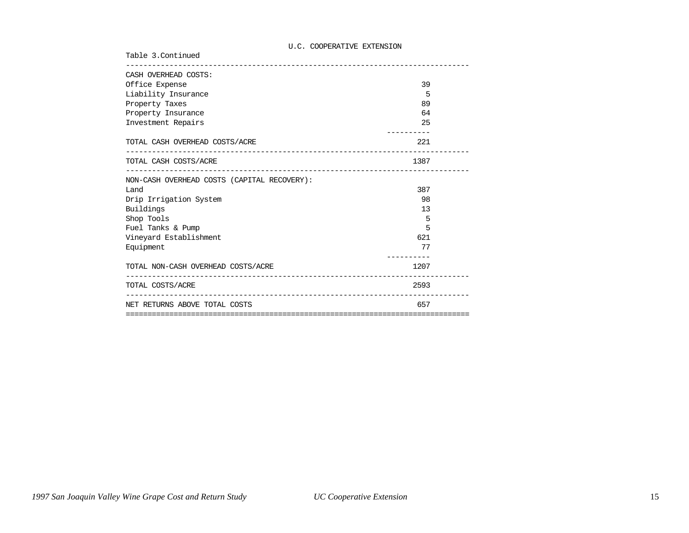| Table 3. Continued                                          |      |  |
|-------------------------------------------------------------|------|--|
| CASH OVERHEAD COSTS:                                        |      |  |
| Office Expense                                              | 39   |  |
| Liability Insurance                                         | 5    |  |
| Property Taxes                                              | 89   |  |
| Property Insurance                                          | 64   |  |
| Investment Repairs                                          | 25   |  |
| TOTAL CASH OVERHEAD COSTS/ACRE                              | 221  |  |
| TOTAL CASH COSTS/ACRE                                       | 1387 |  |
| . <u>.</u> .<br>NON-CASH OVERHEAD COSTS (CAPITAL RECOVERY): |      |  |
| Land                                                        | 387  |  |
| Drip Irrigation System                                      | 98   |  |
| Buildings                                                   | 13   |  |
| Shop Tools                                                  | 5    |  |
| Fuel Tanks & Pump                                           | 5    |  |
| Vineyard Establishment                                      | 621  |  |
| Equipment                                                   | 77   |  |
| TOTAL NON-CASH OVERHEAD COSTS/ACRE                          | 1207 |  |
| TOTAL COSTS/ACRE                                            | 2593 |  |
| NET RETURNS ABOVE TOTAL COSTS                               | 657  |  |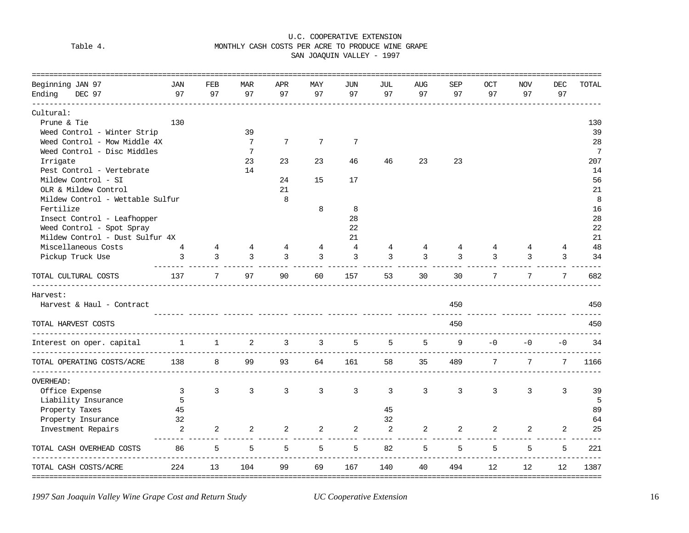## Table 4. MONTHLY CASH COSTS PER ACRE TO PRODUCE WINE GRAPE

SAN JOAQUIN VALLEY - 1997

| Beginning JAN 97                                              | JAN                                | FEB          | <b>MAR</b>      | APR | MAY             | JUN            | JUL | AUG        | <b>SEP</b> | <b>OCT</b> | <b>NOV</b> | DEC  | TOTAL           |
|---------------------------------------------------------------|------------------------------------|--------------|-----------------|-----|-----------------|----------------|-----|------------|------------|------------|------------|------|-----------------|
| Ending<br>DEC 97                                              | 97                                 | 97           | 97              | 97  | 97              | 97             | 97  | 97         | 97         | 97         | 97         | 97   |                 |
| Cultural:                                                     |                                    |              |                 |     |                 |                |     |            |            |            |            |      |                 |
| Prune & Tie                                                   | 130                                |              |                 |     |                 |                |     |            |            |            |            |      | 130             |
| Weed Control - Winter Strip                                   |                                    |              | 39              |     |                 |                |     |            |            |            |            |      | 39              |
| Weed Control - Mow Middle 4X                                  |                                    |              | $7\phantom{.0}$ | 7   | $7\overline{ }$ | $\overline{7}$ |     |            |            |            |            |      | 28              |
| Weed Control - Disc Middles                                   |                                    |              | $7\phantom{.0}$ |     |                 |                |     |            |            |            |            |      | $7\phantom{.0}$ |
| Irrigate                                                      |                                    |              | 23              | 23  | 23              | 46             | 46  | 23         | 23         |            |            |      | 207             |
| Pest Control - Vertebrate                                     |                                    |              | 14              |     |                 |                |     |            |            |            |            |      | 14              |
| Mildew Control - SI                                           |                                    |              |                 | 24  | 15              | 17             |     |            |            |            |            |      | 56              |
| OLR & Mildew Control                                          |                                    |              |                 | 21  |                 |                |     |            |            |            |            |      | 21              |
| Mildew Control - Wettable Sulfur                              |                                    |              |                 | 8   |                 |                |     |            |            |            |            |      | 8               |
| Fertilize                                                     |                                    |              |                 |     | 8               | 8              |     |            |            |            |            |      | 16              |
| Insect Control - Leafhopper                                   |                                    |              |                 |     |                 | 28             |     |            |            |            |            |      | 28              |
| Weed Control - Spot Spray                                     |                                    |              |                 |     |                 | 22             |     |            |            |            |            |      | 22              |
| Mildew Control - Dust Sulfur 4X                               |                                    |              |                 |     |                 | 21             |     |            |            |            |            |      | 21              |
| Miscellaneous Costs                                           |                                    |              |                 | 4   | 4               | 4              | 4   | 4          | 4          | 4          | 4          | 4    | 48              |
| Pickup Truck Use                                              | 3                                  | 3            | 3               | 3   | 3               | 3              | 3   | 3          | 3          | 3          | 3          | 3    | 34              |
| TOTAL CULTURAL COSTS                                          | 137                                | 7            | 97              | 90  | 60              | 157            | 53  | 30         | 30         | 7          | 7          | 7    | 682             |
| Harvest:                                                      |                                    |              |                 |     |                 |                |     |            |            |            |            |      |                 |
| Harvest & Haul - Contract                                     |                                    |              |                 |     |                 |                |     |            | 450        |            |            |      | 450             |
| TOTAL HARVEST COSTS                                           |                                    |              |                 |     |                 |                |     |            | 450        |            |            |      | 450             |
| ________________________________<br>Interest on oper. capital | 1                                  | $\mathbf{1}$ | 2               | 3   | 3               | 5              | 5   | 5          | 9          | $-0$       | $-0$       | $-0$ | 34              |
| -----------------<br>TOTAL OPERATING COSTS/ACRE               | <u>____________________</u><br>138 | 8            | 99              | 93  | 64              | 161            | 58  | ----<br>35 | 489        | 7          | 7          | 7    | 1166            |
| _______________________________<br><b>OVERHEAD:</b>           |                                    |              |                 |     |                 |                |     |            |            |            |            |      |                 |
| Office Expense                                                | 3                                  | 3            | 3               | 3   | 3               | 3              | 3   | 3          | 3          | 3          | 3          | 3    | 39              |
| Liability Insurance                                           | 5                                  |              |                 |     |                 |                |     |            |            |            |            |      | 5               |
| Property Taxes                                                | 45                                 |              |                 |     |                 |                | 45  |            |            |            |            |      | 89              |
| Property Insurance                                            | 32                                 |              |                 |     |                 |                | 32  |            |            |            |            |      | 64              |
| Investment Repairs                                            | 2                                  | 2            | 2               | 2   | 2               | 2              | 2   | 2          | 2          | 2          | 2          | 2    | 25              |
| TOTAL CASH OVERHEAD COSTS                                     | 86                                 | 5            | 5               | 5   | 5               | 5              | 82  | 5          | 5          | 5          | 5          | 5    | 221             |
| TOTAL CASH COSTS/ACRE                                         | 224                                | 13           | 104             | 99  | 69              | 167            | 140 | 40         | 494        | 12         | 12         | 12   | 1387            |

*1997 San Joaquin Valley Wine Grape Cost and Return Study UC Cooperative Extension* 16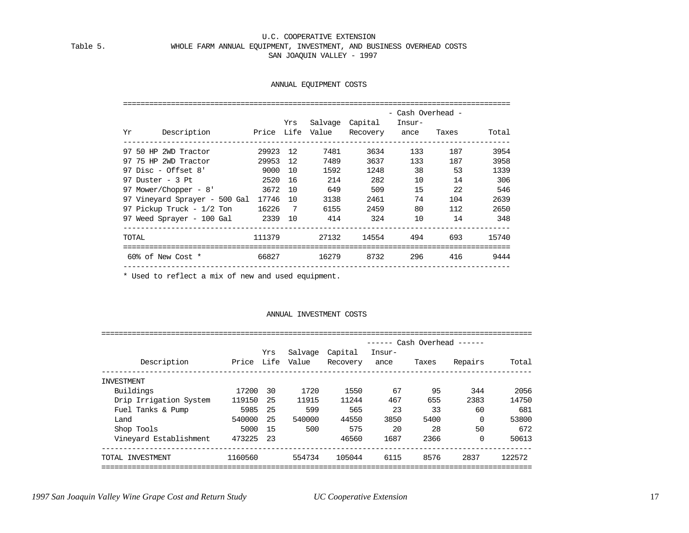#### Table 5. WHOLE FARM ANNUAL EQUIPMENT, INVESTMENT, AND BUSINESS OVERHEAD COSTS SAN JOAQUIN VALLEY - 1997

#### ANNUAL EQUIPMENT COSTS

|                                     |          |                 |         |                                           | - Cash Overhead - |       |       |
|-------------------------------------|----------|-----------------|---------|-------------------------------------------|-------------------|-------|-------|
| Description<br>Yr                   |          | Yrs             | Salvage | Capital<br>Price Life Value Recovery ance | Insur-            | Taxes | Total |
| 97 50 HP 2WD Tractor                | 29923    | 12              | 7481    | 3634                                      | 133               | 187   | 3954  |
| 97 75 HP 2WD Tractor                | 29953    | 12              | 7489    | 3637                                      | 133               | 187   | 3958  |
| 97 Disc - Offset $8'$               | 9000     | 10              | 1592    | 1248                                      | 38                | 53    | 1339  |
| $97$ Duster - 3 Pt                  | 2520     | 16              | 214     | 282                                       | 10                | 14    | 306   |
| 97 Mower/Chopper - 8'               | 3672 10  |                 | 649     | 509                                       | 15                | 22    | 546   |
| 97 Vineyard Sprayer - 500 Gal       | 17746 10 |                 | 3138    | 2461                                      | 74                | 104   | 2639  |
| 97 Pickup Truck - $1/2$ Ton $16226$ |          | $7\overline{ }$ | 6155    | 2459                                      | 80                | 112   | 2650  |
| 97 Weed Sprayer - 100 Gal 2339 10   |          |                 | 414     | 324                                       | 10                | 14    | 348   |
| TOTAL                               | 111379   |                 | 27132   | 14554                                     | 494               | 693   | 15740 |
| 60% of New Cost *                   | 66827    |                 | 16279   | 8732                                      | 296               | 416   | 9444  |
|                                     |          |                 |         |                                           |                   |       |       |

\* Used to reflect a mix of new and used equipment.

#### ANNUAL INVESTMENT COSTS

|                        |            |     |         |          |        |       | Cash Overhead ------ |        |
|------------------------|------------|-----|---------|----------|--------|-------|----------------------|--------|
|                        |            | Yrs | Salvage | Capital  | Insur- |       |                      |        |
| Description            | Price Life |     | Value   | Recovery | ance   | Taxes | Repairs              | Total  |
| INVESTMENT             |            |     |         |          |        |       |                      |        |
| Buildings              | 17200      | 30  | 1720    | 1550     | 67     | 95    | 344                  | 2056   |
| Drip Irrigation System | 119150     | -25 | 11915   | 11244    | 467    | 655   | 2383                 | 14750  |
| Fuel Tanks & Pump      | 5985       | -25 | 599     | 565      | 23     | 33    | 60                   | 681    |
| Land                   | 540000     | -25 | 540000  | 44550    | 3850   | 5400  | $\Omega$             | 53800  |
| Shop Tools             | 5000       | 15  | 500     | 575      | 20     | 28    | 50                   | 672    |
| Vineyard Establishment | 473225     | 23  |         | 46560    | 1687   | 2366  | $\Omega$             | 50613  |
| TOTAL INVESTMENT       | 1160560    |     | 554734  | 105044   | 6115   | 8576  | 2837                 | 122572 |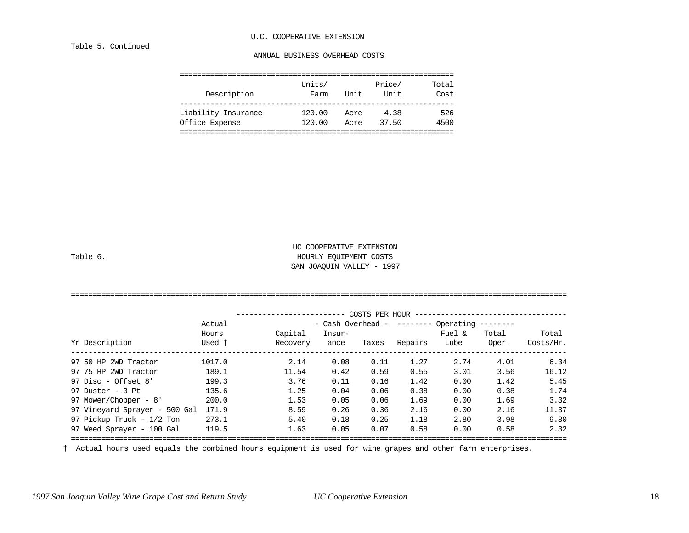#### Table 5. Continued

#### ANNUAL BUSINESS OVERHEAD COSTS

|             | Units/ |      | Price/ | Total |
|-------------|--------|------|--------|-------|
| Description | Farm   | Unit | Unit   | Cost  |
|             |        |      |        |       |

| ____<br>____________<br>$  -$ |                                                |                  |                                      | ____             |
|-------------------------------|------------------------------------------------|------------------|--------------------------------------|------------------|
| ∍<br>.                        | ററ<br>. 00<br>$\lambda$<br>$-1$<br>$\sim$<br>. | .<br>ACL<br>____ | $ -$<br>$\sim$ $\sim$<br>5<br>.<br>. | ⁄⊩ ๒<br>.<br>___ |

Liability Insurance 120.00 Acre 4.38 526

|  | ahl |  |  |
|--|-----|--|--|
|--|-----|--|--|

#### UC COOPERATIVE EXTENSION HOURLY EQUIPMENT COSTS SAN JOAQUIN VALLEY - 1997

|                               |        |          |                   | COSTS PER HOUR |         |                    |           |           |
|-------------------------------|--------|----------|-------------------|----------------|---------|--------------------|-----------|-----------|
|                               | Actual |          | - Cash Overhead - |                |         | -------- Operating | --------- |           |
|                               | Hours  | Capital  | Insur-            |                |         | Fuel &             | Total     | Total     |
| Yr Description                | Used t | Recovery | ance              | Taxes          | Repairs | Lube               | Oper.     | Costs/Hr. |
| 97 50 HP 2WD Tractor          | 1017.0 | 2.14     | 0.08              | 0.11           | 1.27    | 2.74               | 4.01      | 6.34      |
| 97 75 HP 2WD Tractor          | 189.1  | 11.54    | 0.42              | 0.59           | 0.55    | 3.01               | 3.56      | 16.12     |
| 97 Disc - Offset $8'$         | 199.3  | 3.76     | 0.11              | 0.16           | 1.42    | 0.00               | 1.42      | 5.45      |
| 97 Duster - $3$ Pt            | 135.6  | 1.25     | 0.04              | 0.06           | 0.38    | 0.00               | 0.38      | 1.74      |
| 97 Mower/Chopper - 8'         | 200.0  | 1.53     | 0.05              | 0.06           | 1.69    | 0.00               | 1.69      | 3.32      |
| 97 Vineyard Sprayer - 500 Gal | 171.9  | 8.59     | 0.26              | 0.36           | 2.16    | 0.00               | 2.16      | 11.37     |
| 97 Pickup Truck - 1/2 Ton     | 273.1  | 5.40     | 0.18              | 0.25           | 1.18    | 2.80               | 3.98      | 9.80      |
| 97 Weed Sprayer - 100 Gal     | 119.5  | 1.63     | 0.05              | 0.07           | 0.58    | 0.00               | 0.58      | 2.32      |

† Actual hours used equals the combined hours equipment is used for wine grapes and other farm enterprises.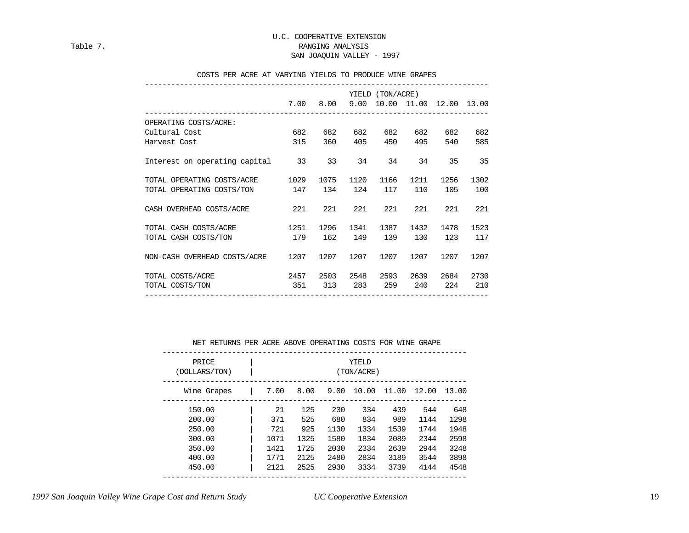#### U.C. COOPERATIVE EXTENSION Table 7. RANGING ANALYSIS

#### SAN JOAQUIN VALLEY - 1997

#### COSTS PER ACRE AT VARYING YIELDS TO PRODUCE WINE GRAPES

|                                  |      |      |      | YIELD (TON/ACRE) |      |                              |      |
|----------------------------------|------|------|------|------------------|------|------------------------------|------|
|                                  | 7.00 | 8.00 |      |                  |      | 9.00 10.00 11.00 12.00 13.00 |      |
| OPERATING COSTS/ACRE:            |      |      |      |                  |      |                              |      |
| Cultural Cost                    | 682  | 682  | 682  | 682              | 682  | 682                          | 682  |
| Harvest Cost                     | 315  | 360  | 405  | 450              | 495  | 540                          | 585  |
| Interest on operating capital 33 |      | 33   | 34   | 34               | 34   | 35                           | 35   |
| TOTAL OPERATING COSTS/ACRE       | 1029 | 1075 | 1120 | 1166             | 1211 | 1256                         | 1302 |
| TOTAL OPERATING COSTS/TON        | 147  | 134  | 124  | 117              | 110  | 105                          | 100  |
| CASH OVERHEAD COSTS/ACRE         | 221  | 221  | 221  | 221              | 221  | 221                          | 221  |
| TOTAL CASH COSTS/ACRE            | 1251 | 1296 | 1341 | 1387             | 1432 | 1478                         | 1523 |
| TOTAL CASH COSTS/TON             | 179  | 162  | 149  | 139              | 130  | 123                          | 117  |
| NON-CASH OVERHEAD COSTS/ACRE     | 1207 | 1207 | 1207 | 1207             | 1207 | 1207                         | 1207 |
| TOTAL COSTS/ACRE                 | 2457 | 2503 | 2548 | 2593             | 2639 | 2684                         | 2730 |
| TOTAL COSTS/TON                  | 351  | 313  | 283  | 259              | 240  | 224                          | 210  |

#### NET RETURNS PER ACRE ABOVE OPERATING COSTS FOR WINE GRAPE

| PRICE<br>(DOLLARS/TON) |      |      |      | YIELD<br>(TON/ACRE) |      |                   |      |
|------------------------|------|------|------|---------------------|------|-------------------|------|
| Wine Grapes            | 7.00 | 8.00 | 9.00 | 10.00               |      | 11.00 12.00 13.00 |      |
| 150.00                 | 21   | 125  | 230  | 334                 | 439  | 544               | 648  |
| 200.00                 | 371  | 525  | 680  | 834                 | 989  | 1144              | 1298 |
| 250.00                 | 721  | 925  | 1130 | 1334                | 1539 | 1744              | 1948 |
| 300.00                 | 1071 | 1325 | 1580 | 1834                | 2089 | 2344              | 2598 |
| 350.00                 | 1421 | 1725 | 2030 | 2334                | 2639 | 2944              | 3248 |
| 400.00                 | 1771 | 2125 | 2480 | 2834                | 3189 | 3544              | 3898 |
| 450.00                 | 2121 | 2525 | 2930 | 3334                | 3739 | 4144              | 4548 |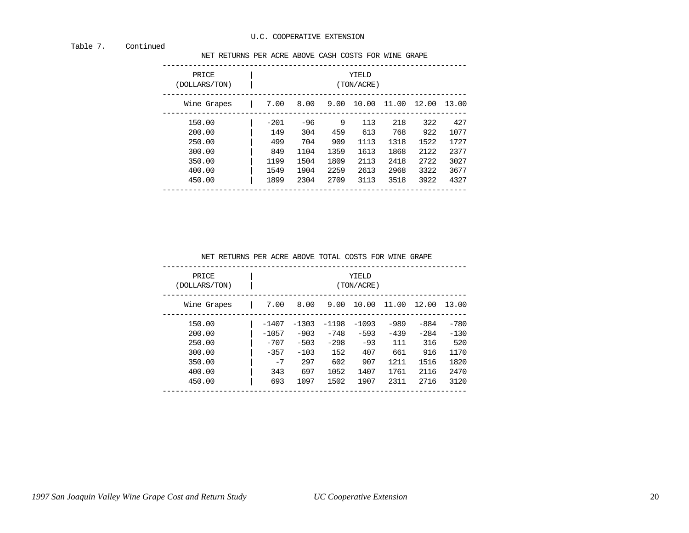#### Table 7. Continued

NET RETURNS PER ACRE ABOVE CASH COSTS FOR WINE GRAPE

| PRICE<br>(DOLLARS/TON) |        |       |      | YIELD<br>(TON/ACRE) |       |             |      |
|------------------------|--------|-------|------|---------------------|-------|-------------|------|
| Wine Grapes            | 7.00   | 8.00  | 9.00 | 10.00               | 11.00 | 12.00 13.00 |      |
| 150.00                 | $-201$ | $-96$ | 9    | 113                 | 218   | 322         | 427  |
| 200.00                 | 149    | 304   | 459  | 613                 | 768   | 922         | 1077 |
| 250.00                 | 499    | 704   | 909  | 1113                | 1318  | 1522        | 1727 |
| 300.00                 | 849    | 1104  | 1359 | 1613                | 1868  | 2122        | 2377 |
| 350.00                 | 1199   | 1504  | 1809 | 2113                | 2418  | 2722        | 3027 |
| 400.00                 | 1549   | 1904  | 2259 | 2613                | 2968  | 3322        | 3677 |
| 450.00                 | 1899   | 2304  | 2709 | 3113                | 3518  | 3922        | 4327 |

NET RETURNS PER ACRE ABOVE TOTAL COSTS FOR WINE GRAPE

| PRICE<br>(DOLLARS/TON) |         |         |         | YIELD<br>(TON/ACRE) |        |             |        |
|------------------------|---------|---------|---------|---------------------|--------|-------------|--------|
| Wine Grapes            | 7.00    | 8.00    | 9.00    | 10.00               | 11.00  | 12.00 13.00 |        |
| 150.00                 | $-1407$ | $-1303$ | $-1198$ | $-1093$             | $-989$ | $-884$      | $-780$ |
| 200.00                 | $-1057$ | $-903$  | $-748$  | $-593$              | $-439$ | $-284$      | $-130$ |
| 250.00                 | $-707$  | $-503$  | $-298$  | $-93$               | 111    | 316         | 520    |
| 300.00                 | $-357$  | $-103$  | 152     | 407                 | 661    | 916         | 1170   |
| 350.00                 | $-7$    | 297     | 602     | 907                 | 1211   | 1516        | 1820   |
| 400.00                 | 343     | 697     | 1052    | 1407                | 1761   | 2116        | 2470   |
| 450.00                 | 693     | 1097    | 1502    | 1907                | 2311   | 2716        | 3120   |